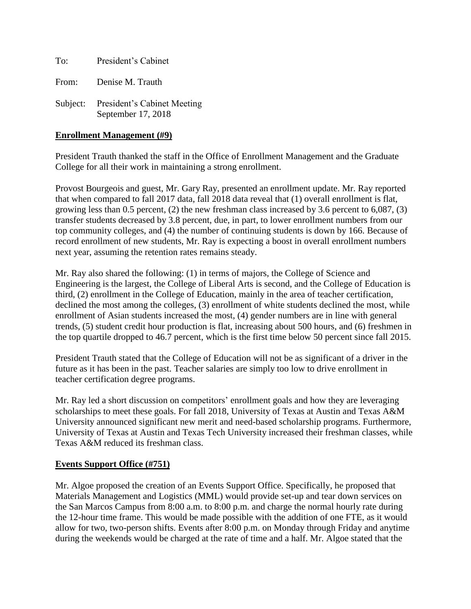To: President's Cabinet

From: Denise M. Trauth

Subject: President's Cabinet Meeting September 17, 2018

#### **Enrollment Management (#9)**

President Trauth thanked the staff in the Office of Enrollment Management and the Graduate College for all their work in maintaining a strong enrollment.

Provost Bourgeois and guest, Mr. Gary Ray, presented an enrollment update. Mr. Ray reported that when compared to fall 2017 data, fall 2018 data reveal that (1) overall enrollment is flat, growing less than 0.5 percent, (2) the new freshman class increased by 3.6 percent to 6,087, (3) transfer students decreased by 3.8 percent, due, in part, to lower enrollment numbers from our top community colleges, and (4) the number of continuing students is down by 166. Because of record enrollment of new students, Mr. Ray is expecting a boost in overall enrollment numbers next year, assuming the retention rates remains steady.

Mr. Ray also shared the following: (1) in terms of majors, the College of Science and Engineering is the largest, the College of Liberal Arts is second, and the College of Education is third, (2) enrollment in the College of Education, mainly in the area of teacher certification, declined the most among the colleges, (3) enrollment of white students declined the most, while enrollment of Asian students increased the most, (4) gender numbers are in line with general trends, (5) student credit hour production is flat, increasing about 500 hours, and (6) freshmen in the top quartile dropped to 46.7 percent, which is the first time below 50 percent since fall 2015.

President Trauth stated that the College of Education will not be as significant of a driver in the future as it has been in the past. Teacher salaries are simply too low to drive enrollment in teacher certification degree programs.

Mr. Ray led a short discussion on competitors' enrollment goals and how they are leveraging scholarships to meet these goals. For fall 2018, University of Texas at Austin and Texas A&M University announced significant new merit and need-based scholarship programs. Furthermore, University of Texas at Austin and Texas Tech University increased their freshman classes, while Texas A&M reduced its freshman class.

#### **Events Support Office (#751)**

Mr. Algoe proposed the creation of an Events Support Office. Specifically, he proposed that Materials Management and Logistics (MML) would provide set-up and tear down services on the San Marcos Campus from 8:00 a.m. to 8:00 p.m. and charge the normal hourly rate during the 12-hour time frame. This would be made possible with the addition of one FTE, as it would allow for two, two-person shifts. Events after 8:00 p.m. on Monday through Friday and anytime during the weekends would be charged at the rate of time and a half. Mr. Algoe stated that the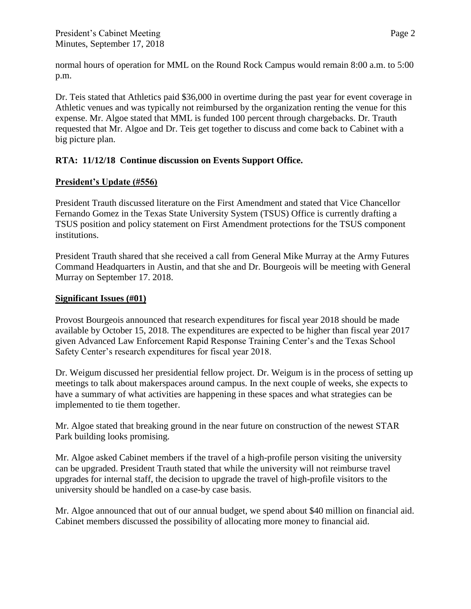Dr. Teis stated that Athletics paid \$36,000 in overtime during the past year for event coverage in Athletic venues and was typically not reimbursed by the organization renting the venue for this expense. Mr. Algoe stated that MML is funded 100 percent through chargebacks. Dr. Trauth requested that Mr. Algoe and Dr. Teis get together to discuss and come back to Cabinet with a big picture plan.

## **RTA: 11/12/18 Continue discussion on Events Support Office.**

### **President's Update (#556)**

President Trauth discussed literature on the First Amendment and stated that Vice Chancellor Fernando Gomez in the Texas State University System (TSUS) Office is currently drafting a TSUS position and policy statement on First Amendment protections for the TSUS component institutions.

President Trauth shared that she received a call from General Mike Murray at the Army Futures Command Headquarters in Austin, and that she and Dr. Bourgeois will be meeting with General Murray on September 17. 2018.

### **Significant Issues (#01)**

Provost Bourgeois announced that research expenditures for fiscal year 2018 should be made available by October 15, 2018. The expenditures are expected to be higher than fiscal year 2017 given Advanced Law Enforcement Rapid Response Training Center's and the Texas School Safety Center's research expenditures for fiscal year 2018.

Dr. Weigum discussed her presidential fellow project. Dr. Weigum is in the process of setting up meetings to talk about makerspaces around campus. In the next couple of weeks, she expects to have a summary of what activities are happening in these spaces and what strategies can be implemented to tie them together.

Mr. Algoe stated that breaking ground in the near future on construction of the newest STAR Park building looks promising.

Mr. Algoe asked Cabinet members if the travel of a high-profile person visiting the university can be upgraded. President Trauth stated that while the university will not reimburse travel upgrades for internal staff, the decision to upgrade the travel of high-profile visitors to the university should be handled on a case-by case basis.

Mr. Algoe announced that out of our annual budget, we spend about \$40 million on financial aid. Cabinet members discussed the possibility of allocating more money to financial aid.